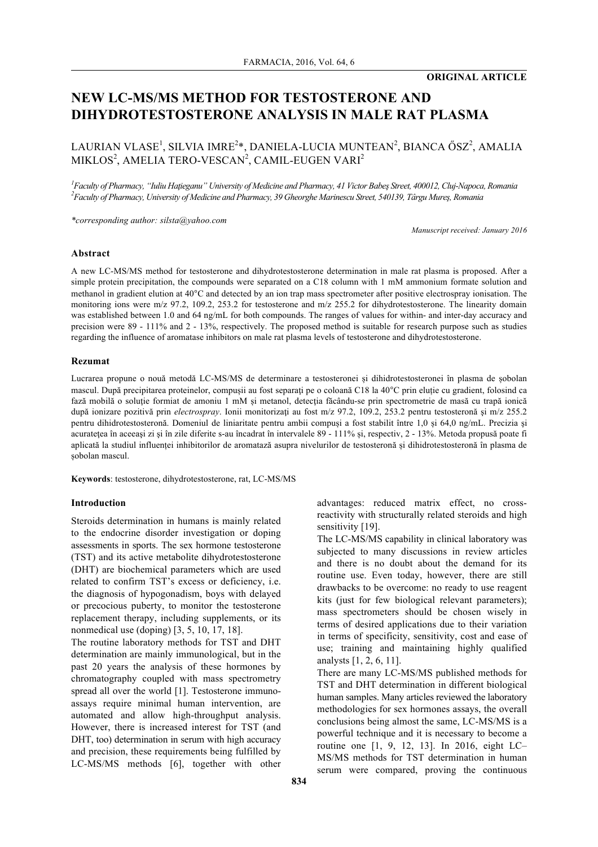# **NEW LC-MS/MS METHOD FOR TESTOSTERONE AND DIHYDROTESTOSTERONE ANALYSIS IN MALE RAT PLASMA**

LAURIAN VLASE<sup>1</sup>, SILVIA IMRE<sup>2</sup>\*, DANIELA-LUCIA MUNTEAN<sup>2</sup>, BIANCA ŐSZ<sup>2</sup>, AMALIA MIKLOS $^2$ , AMELIA TERO-VESCAN $^2$ , CAMIL-EUGEN VARI $^2$ 

*1 Faculty of Pharmacy, "Iuliu Haţieganu" University of Medicine and Pharmacy, 41 Victor Babeş Street, 400012, Cluj-Napoca, Romania 2 Faculty of Pharmacy, University of Medicine and Pharmacy, 39 Gheorghe Marinescu Street, 540139, Târgu Mureş, Romania*

*\*corresponding author: silsta@yahoo.com*

*Manuscript received: January 2016*

#### **Abstract**

A new LC-MS/MS method for testosterone and dihydrotestosterone determination in male rat plasma is proposed. After a simple protein precipitation, the compounds were separated on a C18 column with 1 mM ammonium formate solution and methanol in gradient elution at 40°C and detected by an ion trap mass spectrometer after positive electrospray ionisation. The monitoring ions were m/z 97.2, 109.2, 253.2 for testosterone and m/z 255.2 for dihydrotestosterone. The linearity domain was established between 1.0 and 64 ng/mL for both compounds. The ranges of values for within- and inter-day accuracy and precision were 89 - 111% and 2 - 13%, respectively. The proposed method is suitable for research purpose such as studies regarding the influence of aromatase inhibitors on male rat plasma levels of testosterone and dihydrotestosterone.

#### **Rezumat**

Lucrarea propune o nouă metodă LC-MS/MS de determinare a testosteronei și dihidrotestosteronei în plasma de șobolan mascul. După precipitarea proteinelor, compusii au fost separați pe o coloană C18 la 40°C prin eluție cu gradient, folosind ca fază mobilă o solutie formiat de amoniu 1 mM și metanol, detecția făcându-se prin spectrometrie de masă cu trapă ionică după ionizare pozitivă prin *electrospray*. Ionii monitorizați au fost m/z 97.2, 109.2, 253.2 pentru testosteronă și m/z 255.2 pentru dihidrotestosteronă. Domeniul de liniaritate pentru ambii compuși a fost stabilit între 1,0 și 64,0 ng/mL. Precizia şi acurateţea în aceeaşi zi şi în zile diferite s-au încadrat în intervalele 89 - 111% și, respectiv, 2 - 13%. Metoda propusă poate fi aplicată la studiul influenței inhibitorilor de aromatază asupra nivelurilor de testosteronă și dihidrotestosteronă în plasma de șobolan mascul.

**Keywords**: testosterone, dihydrotestosterone, rat, LC-MS/MS

# **Introduction**

Steroids determination in humans is mainly related to the endocrine disorder investigation or doping assessments in sports. The sex hormone testosterone (TST) and its active metabolite dihydrotestosterone (DHT) are biochemical parameters which are used related to confirm TST's excess or deficiency, i.e. the diagnosis of hypogonadism, boys with delayed or precocious puberty, to monitor the testosterone replacement therapy, including supplements, or its nonmedical use (doping) [3, 5, 10, 17, 18].

The routine laboratory methods for TST and DHT determination are mainly immunological, but in the past 20 years the analysis of these hormones by chromatography coupled with mass spectrometry spread all over the world [1]. Testosterone immunoassays require minimal human intervention, are automated and allow high-throughput analysis. However, there is increased interest for TST (and DHT, too) determination in serum with high accuracy and precision, these requirements being fulfilled by LC-MS/MS methods [6], together with other

subjected to many discussions in review articles and there is no doubt about the demand for its routine use. Even today, however, there are still

sensitivity [19].

drawbacks to be overcome: no ready to use reagent kits (just for few biological relevant parameters); mass spectrometers should be chosen wisely in terms of desired applications due to their variation in terms of specificity, sensitivity, cost and ease of use; training and maintaining highly qualified analysts [1, 2, 6, 11].

advantages: reduced matrix effect, no crossreactivity with structurally related steroids and high

The LC-MS/MS capability in clinical laboratory was

There are many LC-MS/MS published methods for TST and DHT determination in different biological human samples. Many articles reviewed the laboratory methodologies for sex hormones assays, the overall conclusions being almost the same, LC-MS/MS is a powerful technique and it is necessary to become a routine one [1, 9, 12, 13]. In 2016, eight LC– MS/MS methods for TST determination in human serum were compared, proving the continuous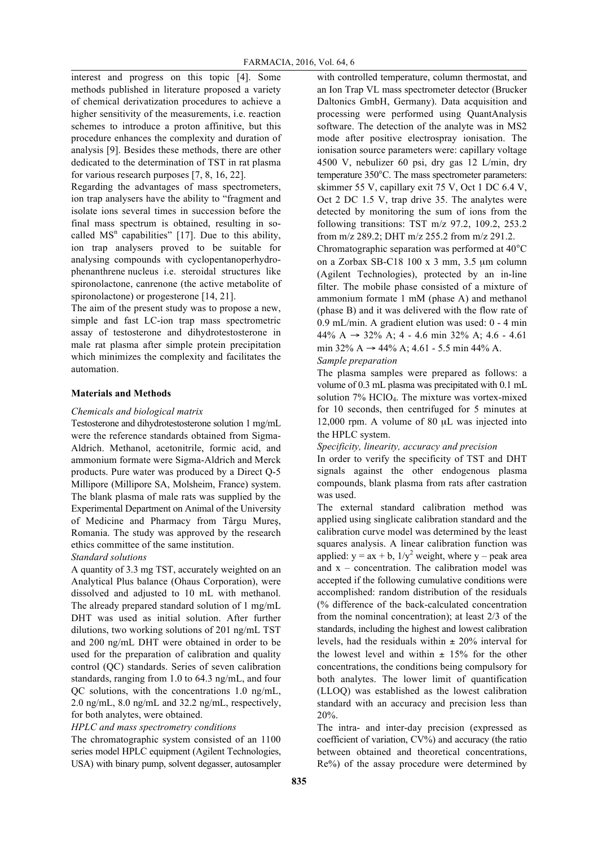interest and progress on this topic [4]. Some methods published in literature proposed a variety of chemical derivatization procedures to achieve a higher sensitivity of the measurements, i.e. reaction schemes to introduce a proton affinitive, but this procedure enhances the complexity and duration of analysis [9]. Besides these methods, there are other dedicated to the determination of TST in rat plasma for various research purposes [7, 8, 16, 22].

Regarding the advantages of mass spectrometers, ion trap analysers have the ability to "fragment and isolate ions several times in succession before the final mass spectrum is obtained, resulting in socalled  $MS<sup>n</sup>$  capabilities" [17]. Due to this ability, ion trap analysers proved to be suitable for analysing compounds with cyclopentanoperhydrophenanthrene nucleus i.e. steroidal structures like spironolactone, canrenone (the active metabolite of spironolactone) or progesterone [14, 21].

The aim of the present study was to propose a new, simple and fast LC-ion trap mass spectrometric assay of testosterone and dihydrotestosterone in male rat plasma after simple protein precipitation which minimizes the complexity and facilitates the automation.

# **Materials and Methods**

## *Chemicals and biological matrix*

Testosterone and dihydrotestosterone solution 1 mg/mL were the reference standards obtained from Sigma-Aldrich. Methanol, acetonitrile, formic acid, and ammonium formate were Sigma-Aldrich and Merck products. Pure water was produced by a Direct Q-5 Millipore (Millipore SA, Molsheim, France) system. The blank plasma of male rats was supplied by the Experimental Department on Animal of the University of Medicine and Pharmacy from Târgu Mureş, Romania. The study was approved by the research ethics committee of the same institution.

*Standard solutions*

A quantity of 3.3 mg TST, accurately weighted on an Analytical Plus balance (Ohaus Corporation), were dissolved and adjusted to 10 mL with methanol. The already prepared standard solution of 1 mg/mL DHT was used as initial solution. After further dilutions, two working solutions of 201 ng/mL TST and 200 ng/mL DHT were obtained in order to be used for the preparation of calibration and quality control (QC) standards. Series of seven calibration standards, ranging from 1.0 to 64.3 ng/mL, and four  $OC$  solutions, with the concentrations 1.0 ng/mL, 2.0 ng/mL, 8.0 ng/mL and 32.2 ng/mL, respectively, for both analytes, were obtained.

# *HPLC and mass spectrometry conditions*

The chromatographic system consisted of an 1100 series model HPLC equipment (Agilent Technologies, USA) with binary pump, solvent degasser, autosampler

with controlled temperature, column thermostat, and an Ion Trap VL mass spectrometer detector (Brucker Daltonics GmbH, Germany). Data acquisition and processing were performed using QuantAnalysis software. The detection of the analyte was in MS2 mode after positive electrospray ionisation. The ionisation source parameters were: capillary voltage 4500 V, nebulizer 60 psi, dry gas 12 L/min, dry temperature 350°C. The mass spectrometer parameters: skimmer 55 V, capillary exit 75 V, Oct 1 DC 6.4 V, Oct 2 DC 1.5 V, trap drive 35. The analytes were detected by monitoring the sum of ions from the following transitions: TST m/z 97.2, 109.2, 253.2 from m/z 289.2; DHT m/z 255.2 from m/z 291.2.

Chromatographic separation was performed at 40°C on a Zorbax SB-C18 100 x 3 mm, 3.5 µm column (Agilent Technologies), protected by an in-line filter. The mobile phase consisted of a mixture of ammonium formate 1 mM (phase A) and methanol (phase B) and it was delivered with the flow rate of 0.9 mL/min. A gradient elution was used: 0 - 4 min 44% A  $\rightarrow$  32% A; 4 - 4.6 min 32% A; 4.6 - 4.61 min 32% A  $\rightarrow$  44% A; 4.61 - 5.5 min 44% A.

# *Sample preparation*

The plasma samples were prepared as follows: a volume of 0.3 mL plasma was precipitated with 0.1 mL solution  $7\%$  HClO<sub>4</sub>. The mixture was vortex-mixed for 10 seconds, then centrifuged for 5 minutes at 12,000 rpm. A volume of 80 µL was injected into the HPLC system.

## *Specificity, linearity, accuracy and precision*

In order to verify the specificity of TST and DHT signals against the other endogenous plasma compounds, blank plasma from rats after castration was used.

The external standard calibration method was applied using singlicate calibration standard and the calibration curve model was determined by the least squares analysis. A linear calibration function was applied:  $y = ax + b$ ,  $1/y^2$  weight, where y – peak area and  $x -$  concentration. The calibration model was accepted if the following cumulative conditions were accomplished: random distribution of the residuals (% difference of the back-calculated concentration from the nominal concentration); at least 2/3 of the standards, including the highest and lowest calibration levels, had the residuals within  $\pm 20\%$  interval for the lowest level and within  $\pm$  15% for the other concentrations, the conditions being compulsory for both analytes. The lower limit of quantification (LLOQ) was established as the lowest calibration standard with an accuracy and precision less than 20%.

The intra- and inter-day precision (expressed as coefficient of variation, CV%) and accuracy (the ratio between obtained and theoretical concentrations, Re%) of the assay procedure were determined by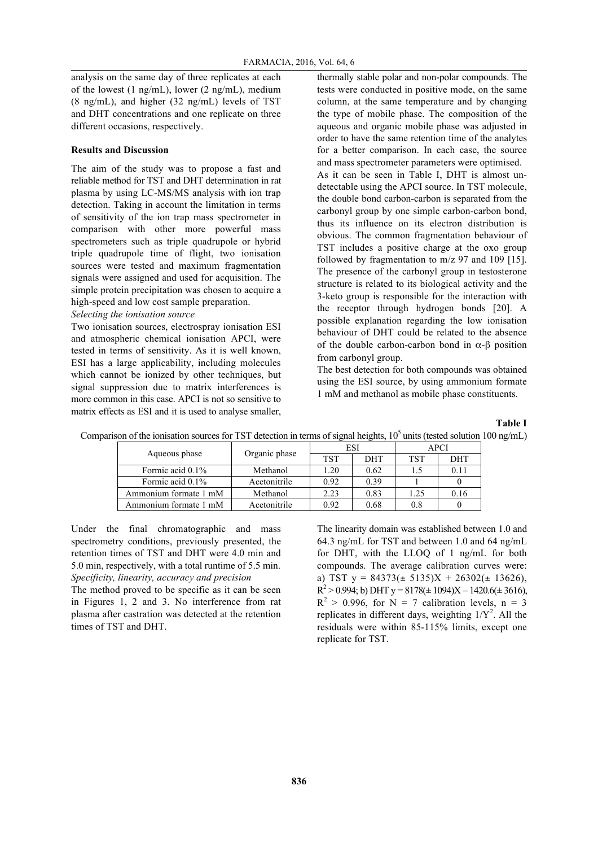analysis on the same day of three replicates at each of the lowest (1 ng/mL), lower (2 ng/mL), medium (8 ng/mL), and higher (32 ng/mL) levels of TST and DHT concentrations and one replicate on three different occasions, respectively.

#### **Results and Discussion**

The aim of the study was to propose a fast and reliable method for TST and DHT determination in rat plasma by using LC-MS/MS analysis with ion trap detection. Taking in account the limitation in terms of sensitivity of the ion trap mass spectrometer in comparison with other more powerful mass spectrometers such as triple quadrupole or hybrid triple quadrupole time of flight, two ionisation sources were tested and maximum fragmentation signals were assigned and used for acquisition. The simple protein precipitation was chosen to acquire a high-speed and low cost sample preparation. *Selecting the ionisation source*

Two ionisation sources, electrospray ionisation ESI and atmospheric chemical ionisation APCI, were tested in terms of sensitivity. As it is well known, ESI has a large applicability, including molecules which cannot be ionized by other techniques, but signal suppression due to matrix interferences is more common in this case. APCI is not so sensitive to matrix effects as ESI and it is used to analyse smaller, thermally stable polar and non-polar compounds. The tests were conducted in positive mode, on the same column, at the same temperature and by changing the type of mobile phase. The composition of the aqueous and organic mobile phase was adjusted in order to have the same retention time of the analytes for a better comparison. In each case, the source and mass spectrometer parameters were optimised. As it can be seen in Table I, DHT is almost undetectable using the APCI source. In TST molecule, the double bond carbon-carbon is separated from the carbonyl group by one simple carbon-carbon bond, thus its influence on its electron distribution is obvious. The common fragmentation behaviour of TST includes a positive charge at the oxo group followed by fragmentation to m/z 97 and 109 [15]. The presence of the carbonyl group in testosterone structure is related to its biological activity and the 3-keto group is responsible for the interaction with the receptor through hydrogen bonds [20]. A possible explanation regarding the low ionisation behaviour of DHT could be related to the absence of the double carbon-carbon bond in α-β position from carbonyl group.

The best detection for both compounds was obtained using the ESI source, by using ammonium formate 1 mM and methanol as mobile phase constituents.

## **Table I**

| account of the remotation boarded for TDT detection in terms of digital heights, TO anno (tested boration Too |                       |               |      |            |             |      |  |  |  |
|---------------------------------------------------------------------------------------------------------------|-----------------------|---------------|------|------------|-------------|------|--|--|--|
|                                                                                                               |                       |               |      |            | <b>APCI</b> |      |  |  |  |
|                                                                                                               | Aqueous phase         | Organic phase | TST  | <b>DHT</b> | TST         | DHT  |  |  |  |
|                                                                                                               | Formic acid 0.1%      | Methanol      | .20  | 0.62       |             | 0.11 |  |  |  |
|                                                                                                               | Formic acid 0.1%      | Acetonitrile  | 0.92 | 0.39       |             |      |  |  |  |
|                                                                                                               | Ammonium formate 1 mM | Methanol      | 2.23 | 0.83       | .25         | 0.16 |  |  |  |

Ammonium formate 1 mM Acetonitrile 0.92 0.68 0.8 0

Comparison of the ionisation sources for TST detection in terms of signal heights,  $10^5$  units (tested solution 100 ng/mL)

Under the final chromatographic and mass spectrometry conditions, previously presented, the retention times of TST and DHT were 4.0 min and 5.0 min, respectively, with a total runtime of 5.5 min. *Specificity, linearity, accuracy and precision*

The method proved to be specific as it can be seen in Figures 1, 2 and 3. No interference from rat plasma after castration was detected at the retention times of TST and DHT.

The linearity domain was established between 1.0 and 64.3 ng/mL for TST and between 1.0 and 64 ng/mL for DHT, with the LLOQ of 1 ng/mL for both compounds. The average calibration curves were: a) TST  $y = 84373(\pm 5135)X + 26302(\pm 13626)$ ,  $R^2 > 0.994$ ; b) DHT y = 8178( $\pm$  1094)X – 1420.6( $\pm$  3616),  $R<sup>2</sup> > 0.996$ , for N = 7 calibration levels, n = 3 replicates in different days, weighting  $1/Y^2$ . All the residuals were within 85-115% limits, except one replicate for TST.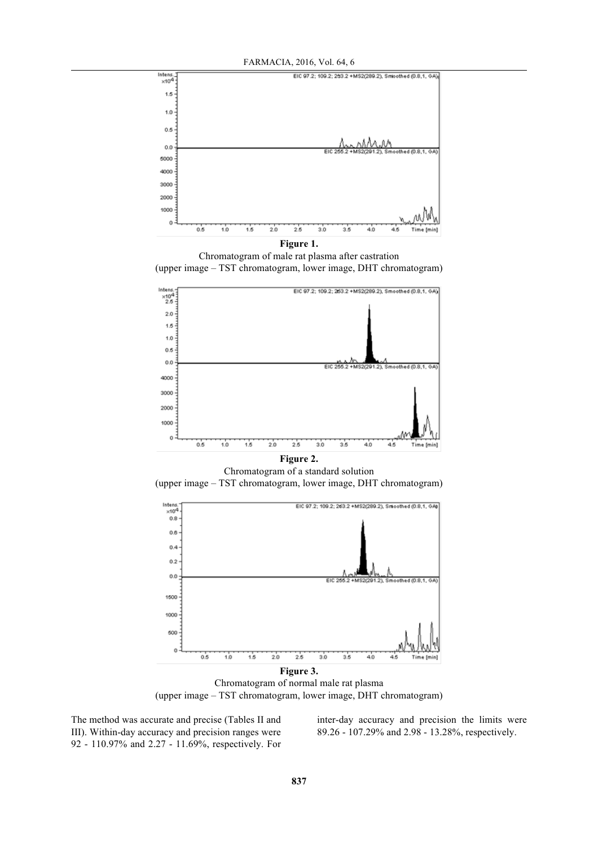

Chromatogram of male rat plasma after castration (upper image – TST chromatogram, lower image, DHT chromatogram)



**Figure 2.** Chromatogram of a standard solution (upper image – TST chromatogram, lower image, DHT chromatogram)



Chromatogram of normal male rat plasma (upper image – TST chromatogram, lower image, DHT chromatogram)

The method was accurate and precise (Tables II and III). Within-day accuracy and precision ranges were 92 - 110.97% and 2.27 - 11.69%, respectively. For inter-day accuracy and precision the limits were 89.26 - 107.29% and 2.98 - 13.28%, respectively.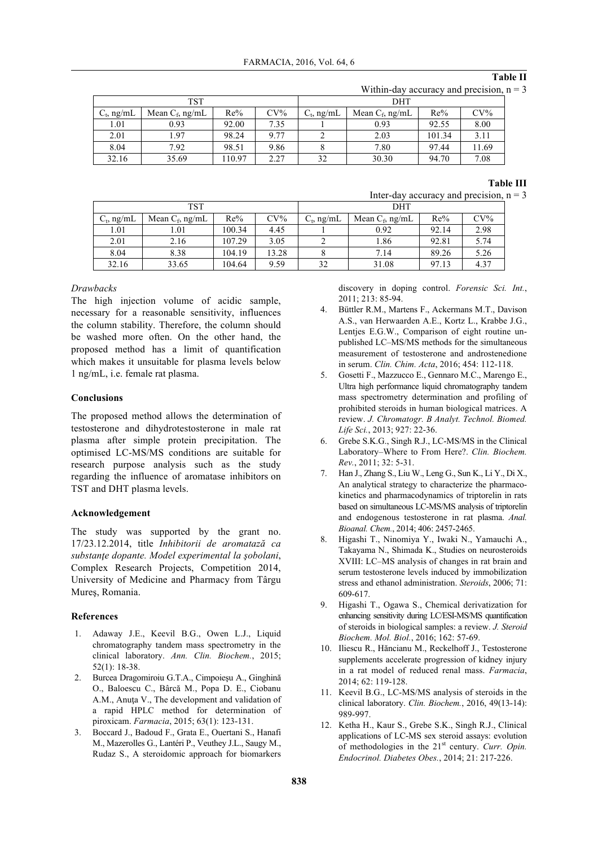#### **Table II**

Within-day accuracy and precision,  $n = 3$ 

| TST           |                    |        |        | DHT           |                    |        |        |
|---------------|--------------------|--------|--------|---------------|--------------------|--------|--------|
| $C_t$ , ng/mL | Mean $C_f$ , ng/mL | Re%    | $CV\%$ | $C_t$ , ng/mL | Mean $C_f$ , ng/mL | Re%    | $CV\%$ |
| 1.01          | 0.93               | 92.00  | 7.35   |               | 0.93               | 92.55  | 8.00   |
| 2.01          | 1.97               | 98.24  | 9.77   |               | 2.03               | 101.34 | 3.11   |
| 8.04          | 7.92               | 98.51  | 9.86   |               | 7.80               | 97.44  | 11.69  |
| 32.16         | 35.69              | 110.97 | 2.27   | 32            | 30.30              | 94.70  | 7.08   |

#### **Table III**

Inter-day accuracy and precision,  $n = 3$ 

| TST           |                    |        |        | DHT           |                    |       |        |  |
|---------------|--------------------|--------|--------|---------------|--------------------|-------|--------|--|
| $C_t$ , ng/mL | Mean $C_f$ , ng/mL | Re%    | $CV\%$ | $C_t$ , ng/mL | Mean $C_f$ , ng/mL | Re%   | $CV\%$ |  |
| 1.01          | .01                | 100.34 | 4.45   |               | 0.92               | 92.14 | 2.98   |  |
| 2.01          | 2.16               | 107.29 | 3.05   |               | 1.86               | 92.81 | 5.74   |  |
| 8.04          | 8.38               | 104.19 | 13.28  |               | 7.14               | 89.26 | 5.26   |  |
| 32.16         | 33.65              | 104.64 | 9.59   | 32            | 31.08              | 97.13 | 4.37   |  |

#### *Drawbacks*

The high injection volume of acidic sample, necessary for a reasonable sensitivity, influences the column stability. Therefore, the column should be washed more often. On the other hand, the proposed method has a limit of quantification which makes it unsuitable for plasma levels below 1 ng/mL, i.e. female rat plasma.

#### **Conclusions**

The proposed method allows the determination of testosterone and dihydrotestosterone in male rat plasma after simple protein precipitation. The optimised LC-MS/MS conditions are suitable for research purpose analysis such as the study regarding the influence of aromatase inhibitors on TST and DHT plasma levels.

## **Acknowledgement**

The study was supported by the grant no. 17/23.12.2014, title *Inhibitorii de aromatază ca substanţe dopante. Model experimental la şobolani*, Complex Research Projects, Competition 2014, University of Medicine and Pharmacy from Târgu Mureş, Romania.

#### **References**

- 1. Adaway J.E., Keevil B.G., Owen L.J., Liquid chromatography tandem mass spectrometry in the clinical laboratory. *Ann. Clin. Biochem.*, 2015; 52(1): 18-38.
- 2. Burcea Dragomiroiu G.T.A., Cimpoieşu A., Ginghină O., Baloescu C., Bârcă M., Popa D. E., Ciobanu A.M., Anuţa V., The development and validation of a rapid HPLC method for determination of piroxicam. *Farmacia*, 2015; 63(1): 123-131.
- 3. Boccard J., Badoud F., Grata E., Ouertani S., Hanafi M., Mazerolles G., Lantéri P., Veuthey J.L., Saugy M., Rudaz S., A steroidomic approach for biomarkers

discovery in doping control. *Forensic Sci. Int.*, 2011; 213: 85-94.

- 4. Büttler R.M., Martens F., Ackermans M.T., Davison A.S., van Herwaarden A.E., Kortz L., Krabbe J.G., Lentjes E.G.W., Comparison of eight routine unpublished LC–MS/MS methods for the simultaneous measurement of testosterone and androstenedione in serum. *Clin. Chim. Acta*, 2016; 454: 112-118.
- 5. Gosetti F., Mazzucco E., Gennaro M.C., Marengo E., Ultra high performance liquid chromatography tandem mass spectrometry determination and profiling of prohibited steroids in human biological matrices. A review. *J. Chromatogr. B Analyt. Technol. Biomed. Life Sci.*, 2013; 927: 22-36.
- 6. Grebe S.K.G., Singh R.J., LC-MS/MS in the Clinical Laboratory–Where to From Here?. *Clin. Biochem. Rev.*, 2011; 32: 5-31.
- 7. Han J., Zhang S., Liu W., Leng G., Sun K., Li Y., Di X., An analytical strategy to characterize the pharmacokinetics and pharmacodynamics of triptorelin in rats based on simultaneous LC-MS/MS analysis of triptorelin and endogenous testosterone in rat plasma. *Anal. Bioanal. Chem.*, 2014; 406: 2457-2465.
- 8. Higashi T., Ninomiya Y., Iwaki N., Yamauchi A., Takayama N., Shimada K., Studies on neurosteroids XVIII: LC–MS analysis of changes in rat brain and serum testosterone levels induced by immobilization stress and ethanol administration. *Steroids*, 2006; 71: 609-617.
- 9. Higashi T., Ogawa S., Chemical derivatization for enhancing sensitivity during LC/ESI-MS/MS quantification of steroids in biological samples: a review. *J. Steroid Biochem. Mol. Biol.*, 2016; 162: 57-69.
- 10. Iliescu R., Hăncianu M., Reckelhoff J., Testosterone supplements accelerate progression of kidney injury in a rat model of reduced renal mass. *Farmacia*, 2014; 62: 119-128.
- 11. Keevil B.G., LC-MS/MS analysis of steroids in the clinical laboratory. *Clin. Biochem.*, 2016, 49(13-14): 989-997.
- 12. Ketha H., Kaur S., Grebe S.K., Singh R.J., Clinical applications of LC-MS sex steroid assays: evolution of methodologies in the 21st century. *Curr. Opin. Endocrinol. Diabetes Obes.*, 2014; 21: 217-226.